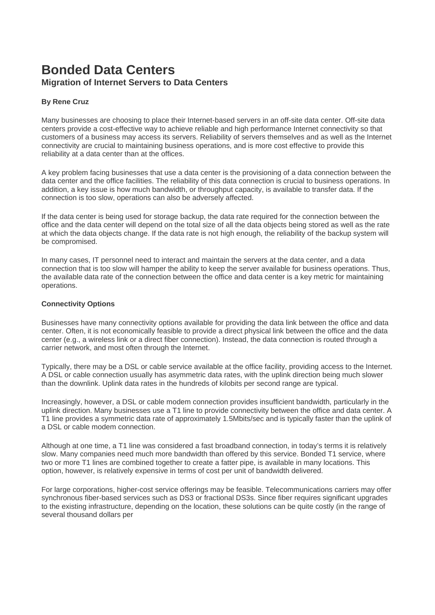# **Bonded Data Centers Migration of Internet Servers to Data Centers**

## **By Rene Cruz**

Many businesses are choosing to place their Internet-based servers in an off-site data center. Off-site data centers provide a cost-effective way to achieve reliable and high performance Internet connectivity so that customers of a business may access its servers. Reliability of servers themselves and as well as the Internet connectivity are crucial to maintaining business operations, and is more cost effective to provide this reliability at a data center than at the offices.

A key problem facing businesses that use a data center is the provisioning of a data connection between the data center and the office facilities. The reliability of this data connection is crucial to business operations. In addition, a key issue is how much bandwidth, or throughput capacity, is available to transfer data. If the connection is too slow, operations can also be adversely affected.

If the data center is being used for storage backup, the data rate required for the connection between the office and the data center will depend on the total size of all the data objects being stored as well as the rate at which the data objects change. If the data rate is not high enough, the reliability of the backup system will be compromised.

In many cases, IT personnel need to interact and maintain the servers at the data center, and a data connection that is too slow will hamper the ability to keep the server available for business operations. Thus, the available data rate of the connection between the office and data center is a key metric for maintaining operations.

#### **Connectivity Options**

Businesses have many connectivity options available for providing the data link between the office and data center. Often, it is not economically feasible to provide a direct physical link between the office and the data center (e.g., a wireless link or a direct fiber connection). Instead, the data connection is routed through a carrier network, and most often through the Internet.

Typically, there may be a DSL or cable service available at the office facility, providing access to the Internet. A DSL or cable connection usually has asymmetric data rates, with the uplink direction being much slower than the downlink. Uplink data rates in the hundreds of kilobits per second range are typical.

Increasingly, however, a DSL or cable modem connection provides insufficient bandwidth, particularly in the uplink direction. Many businesses use a T1 line to provide connectivity between the office and data center. A T1 line provides a symmetric data rate of approximately 1.5Mbits/sec and is typically faster than the uplink of a DSL or cable modem connection.

Although at one time, a T1 line was considered a fast broadband connection, in today's terms it is relatively slow. Many companies need much more bandwidth than offered by this service. Bonded T1 service, where two or more T1 lines are combined together to create a fatter pipe, is available in many locations. This option, however, is relatively expensive in terms of cost per unit of bandwidth delivered.

For large corporations, higher-cost service offerings may be feasible. Telecommunications carriers may offer synchronous fiber-based services such as DS3 or fractional DS3s. Since fiber requires significant upgrades to the existing infrastructure, depending on the location, these solutions can be quite costly (in the range of several thousand dollars per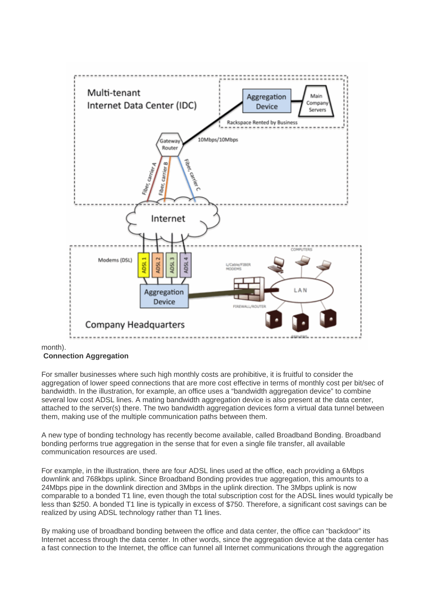

month).

### **Connection Aggregation**

For smaller businesses where such high monthly costs are prohibitive, it is fruitful to consider the aggregation of lower speed connections that are more cost effective in terms of monthly cost per bit/sec of bandwidth. In the illustration, for example, an office uses a "bandwidth aggregation device" to combine several low cost ADSL lines. A mating bandwidth aggregation device is also present at the data center, attached to the server(s) there. The two bandwidth aggregation devices form a virtual data tunnel between them, making use of the multiple communication paths between them.

A new type of bonding technology has recently become available, called Broadband Bonding. Broadband bonding performs true aggregation in the sense that for even a single file transfer, all available communication resources are used.

For example, in the illustration, there are four ADSL lines used at the office, each providing a 6Mbps downlink and 768kbps uplink. Since Broadband Bonding provides true aggregation, this amounts to a 24Mbps pipe in the downlink direction and 3Mbps in the uplink direction. The 3Mbps uplink is now comparable to a bonded T1 line, even though the total subscription cost for the ADSL lines would typically be less than \$250. A bonded T1 line is typically in excess of \$750. Therefore, a significant cost savings can be realized by using ADSL technology rather than T1 lines.

By making use of broadband bonding between the office and data center, the office can "backdoor" its Internet access through the data center. In other words, since the aggregation device at the data center has a fast connection to the Internet, the office can funnel all Internet communications through the aggregation